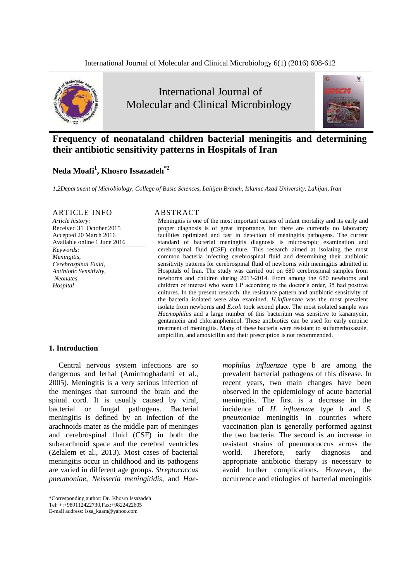



# **Frequency of neonataland children bacterial meningitis and determining their antibiotic sensitivity patterns in Hospitals of Iran**

# **Neda Moafi<sup>1</sup> , Khosro Issazadeh\*2**

*1,2Department of Microbiology, College of Basic Sciences, Lahijan Branch, Islamic Azad University, Lahijan, Iran*

## ARTICLE INFO ABSTRACT

*Article history:* Received 31 October 2015 Accepted 20 March 2016 Available online 1 June 2016

*Keywords: Meningitis, Cerebrospinal Fluid, Antibiotic Sensitivity, Neonates, Hospital*

Meningitis is one of the most important causes of infant mortality and its early and proper diagnosis is of great importance, but there are currently no laboratory facilities optimized and fast in detection of meningitis pathogens. The current standard of bacterial meningitis diagnosis is microscopic examination and cerebrospinal fluid (CSF) culture. This research aimed at isolating the most common bacteria infecting cerebrospinal fluid and determining their antibiotic sensitivity patterns for cerebrospinal fluid of newborns with meningitis admitted in Hospitals of Iran. The study was carried out on 680 cerebrospinal samples from newborns and children during 2013-2014. From among the 680 newborns and children of interest who were LP according to the doctor's order, 35 had positive cultures. In the present research, the resistance pattern and antibiotic sensitivity of the bacteria isolated were also examined. *H.influenzae* was the most prevalent isolate from newborns and *E.coli* took second place. The most isolated sample was *Haemophilus* and a large number of this bacterium was sensitive to kanamycin, gentamicin and chloramphenicol. These antibiotics can be used for early empiric treatment of meningitis. Many of these bacteria were resistant to sulfamethoxazole, ampicillin, and amoxicillin and their prescription is not recommended.

### **1. Introduction**

Central nervous system infections are so dangerous and lethal (Amirmoghadami et al., 2005). Meningitis is a very serious infection of the meninges that surround the brain and the spinal cord. It is usually caused by viral, bacterial or fungal pathogens. Bacterial meningitis is defined by an infection of the arachnoids mater as the middle part of meninges and cerebrospinal fluid (CSF) in both the subarachnoid space and the cerebral ventricles (Zelalem et al., 2013). Most cases of bacterial meningitis occur in childhood and its pathogens are varied in different age groups. *Streptococcus pneumoniae*, *Neisseria meningitidis*, and *Hae-* *mophilus influenzae* type b are among the prevalent bacterial pathogens of this disease. In recent years, two main changes have been observed in the epidemiology of acute bacterial meningitis. The first is a decrease in the incidence of *H. influenzae* type b and *S. pneumoniae* meningitis in countries where vaccination plan is generally performed against the two bacteria. The second is an increase in resistant strains of pneumococcus across the world. Therefore, early diagnosis and appropriate antibiotic therapy is necessary to avoid further complications. However, the occurrence and etiologies of bacterial meningitis

<sup>\*</sup>Corresponding author: Dr. Khosro Issazadeh

Tel: +:+989112422730,Fax:+9822422605

E-mail address: Issa\_kaam@yahoo.com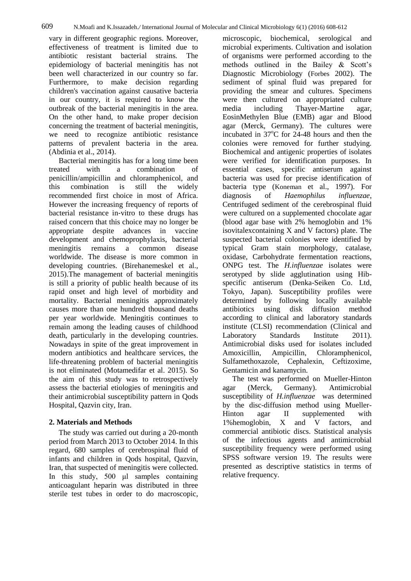vary in different geographic regions. Moreover, effectiveness of treatment is limited due to antibiotic resistant bacterial strains. The epidemiology of bacterial meningitis has not been well characterized in our country so far. Furthermore, to make decision regarding children's vaccination against causative bacteria in our country, it is required to know the outbreak of the bacterial meningitis in the area. On the other hand, to make proper decision concerning the treatment of bacterial meningitis, we need to recognize antibiotic resistance patterns of prevalent bacteria in the area. (Abdinia et al., 2014).

Bacterial meningitis has for a long time been treated with a combination of penicillin/ampicillin and chloramphenicol, and this combination is still the widely recommended first choice in most of Africa. However the increasing frequency of reports of bacterial resistance in‐vitro to these drugs has raised concern that this choice may no longer be appropriate despite advances in vaccine development and chemoprophylaxis, bacterial meningitis remains a common disease worldwide. The disease is more common in developing countries. (Birehanemeskel et al., 2015).The management of bacterial meningitis is still a priority of public health because of its rapid onset and high level of morbidity and mortality. Bacterial meningitis approximately causes more than one hundred thousand deaths per year worldwide. Meningitis continues to remain among the leading causes of childhood death, particularly in the developing countries. Nowadays in spite of the great improvement in modern antibiotics and healthcare services, the life-threatening problem of bacterial meningitis is not eliminated (Motamedifar et al. 2015). So the aim of this study was to retrospectively assess the bacterial etiologies of meningitis and their antimicrobial susceptibility pattern in Qods Hospital, Qazvin city, Iran.

# **2. Materials and Methods**

The study was carried out during a 20-month period from March 2013 to October 2014. In this regard, 680 samples of cerebrospinal fluid of infants and children in Qods hospital, Qazvin, Iran, that suspected of meningitis were collected. In this study, 500 μl samples containing anticoagulant heparin was distributed in three sterile test tubes in order to do macroscopic,

microscopic, biochemical, serological and microbial experiments. Cultivation and isolation of organisms were performed according to the methods outlined in the Bailey & Scott's Diagnostic Microbiology (Forbes 2002). The sediment of spinal fluid was prepared for providing the smear and cultures. Specimens were then cultured on appropriated culture media including Thayer-Martine agar, EosinMethylen Blue (EMB) agar and Blood agar (Merck, Germany). The cultures were incubated in  $37^{\circ}$ C for 24-48 hours and then the colonies were removed for further studying. Biochemical and antigenic properties of isolates were verified for identification purposes. In essential cases, specific antiserum against bacteria was used for precise identification of bacteria type (Koneman et al., 1997). For diagnosis of *Haemophilus influenzae*, Centrifuged sediment of the cerebrospinal fluid were cultured on a supplemented chocolate agar (blood agar base with 2% hemoglobin and 1% isovitalexcontaining X and V factors) plate. The suspected bacterial colonies were identified by typical Gram stain morphology, catalase, oxidase, Carbohydrate fermentation reactions, ONPG test. The *H.influenzae* isolates were serotyped by slide agglutination using Hibspecific antiserum (Denka-Seiken Co. Ltd, Tokyo, Japan). Susceptibility profiles were determined by following locally available<br>antibiotics using disk diffusion method disk diffusion method according to clinical and laboratory standards institute (CLSI) recommendation (Clinical and Laboratory Standards Institute 2011). Antimicrobial disks used for isolates included Amoxicillin, Ampicillin, Chloramphenicol, Sulfamethoxazole, Cephalexin, Ceftizoxime, Gentamicin and kanamycin.

The test was performed on Mueller-Hinton agar (Merck, Germany). Antimicrobial susceptibility of *H.influenzae* was determined by the disc-diffusion method using Mueller-Hinton agar II supplemented with 1%hemoglobin, X and V factors, and commercial antibiotic discs. Statistical analysis of the infectious agents and antimicrobial susceptibility frequency were performed using SPSS software version 19. The results were presented as descriptive statistics in terms of relative frequency.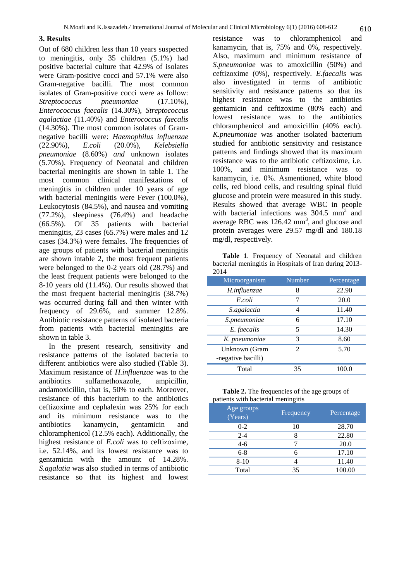#### **3. Results**

Out of 680 children less than 10 years suspected to meningitis, only 35 children (5.1%) had positive bacterial culture that 42.9% of isolates were Gram-positive cocci and 57.1% were also Gram-negative bacilli. The most common isolates of Gram-positive cocci were as follow: *Streptococcus pneumoniae* (17.10%), *Enterococcus faecalis* (14.30%), *Streptococcus agalactiae* (11.40%) and *Enterococcus faecalis*  (14.30%). The most common isolates of Gramnegative bacilli were: *Haemophilus influenzae* (22.90%), *E.coli* (20.0%), *Kelebsiella pneumoniae* (8.60%) *and* unknown isolates (5.70%). Frequency of Neonatal and children bacterial meningitis are shown in table 1. The most common clinical manifestations of meningitis in children under 10 years of age with bacterial meningitis were Fever  $(100.0\%)$ , Leukocytosis (84.5%), and nausea and vomiting (77.2%), sleepiness (76.4%) and headache (66.5%). Of 35 patients with bacterial meningitis, 23 cases (65.7%) were males and 12 cases (34.3%) were females. The frequencies of age groups of patients with bacterial meningitis are shown intable 2, the most frequent patients were belonged to the 0-2 years old (28.7%) and the least frequent patients were belonged to the 8-10 years old (11.4%). Our results showed that the most frequent bacterial meningitis (38.7%) was occurred during fall and then winter with frequency of 29.6%, and summer 12.8%. Antibiotic resistance patterns of isolated bacteria from patients with bacterial meningitis are shown in table 3.

In the present research, sensitivity and resistance patterns of the isolated bacteria to different antibiotics were also studied (Table 3). Maximum resistance of *H.influenzae* was to the antibiotics sulfamethoxazole, ampicillin, andamoxicillin, that is, 50% to each. Moreover, resistance of this bacterium to the antibiotics ceftizoxime and cephalexin was 25% for each and its minimum resistance was to the antibiotics kanamycin, gentamicin and chloramphenicol (12.5% each). Additionally, the highest resistance of *E.coli* was to ceftizoxime, i.e. 52.14%, and its lowest resistance was to gentamicin with the amount of 14.28%. *S.agalatia* was also studied in terms of antibiotic resistance so that its highest and lowest

resistance was to chloramphenicol and kanamycin, that is, 75% and 0%, respectively. Also, maximum and minimum resistance of *S.pneumoniae* was to amoxicillin (50%) and ceftizoxime (0%), respectively. *E.faecalis* was also investigated in terms of antibiotic sensitivity and resistance patterns so that its highest resistance was to the antibiotics gentamicin and ceftizoxime (80% each) and lowest resistance was to the antibiotics chloramphenicol and amoxicillin (40% each). *K.pneumoniae* was another isolated bacterium studied for antibiotic sensitivity and resistance patterns and findings showed that its maximum resistance was to the antibiotic ceftizoxime, i.e. 100%, and minimum resistance was to kanamycin, i.e. 0%. Asmentioned, white blood cells, red blood cells, and resulting spinal fluid glucose and protein were measured in this study. Results showed that average WBC in people with bacterial infections was  $304.5 \text{ mm}^3$  and average RBC was  $126.42 \text{ mm}^3$ , and glucose and protein averages were 29.57 mg/dl and 180.18 mg/dl, respectively.

**Table 1**. Frequency of Neonatal and children bacterial meningitis in Hospitals of Iran during 2013- 2014

| Microorganism      | Number         | Percentage |
|--------------------|----------------|------------|
| H.influenzae       | 8              | 22.90      |
| E.coli             | 7              | 20.0       |
| S.agalactia        | 4              | 11.40      |
| S.pneumoniae       | 6              | 17.10      |
| E. faecalis        | 5              | 14.30      |
| K. pneumoniae      | 3              | 8.60       |
| Unknown (Gram      | $\mathfrak{D}$ | 5.70       |
| -negative bacilli) |                |            |
| Total              | 35             | 100.0      |

**Table 2.** The frequencies of the age groups of patients with bacterial meningitis

| Age groups<br>(Years) | Frequency | Percentage |
|-----------------------|-----------|------------|
| $0 - 2$               | 10        | 28.70      |
| $2 - 4$               | 8         | 22.80      |
| $4 - 6$               |           | 20.0       |
| $6 - 8$               | 6         | 17.10      |
| $8 - 10$              |           | 11.40      |
| Total                 | 35        | 100.00     |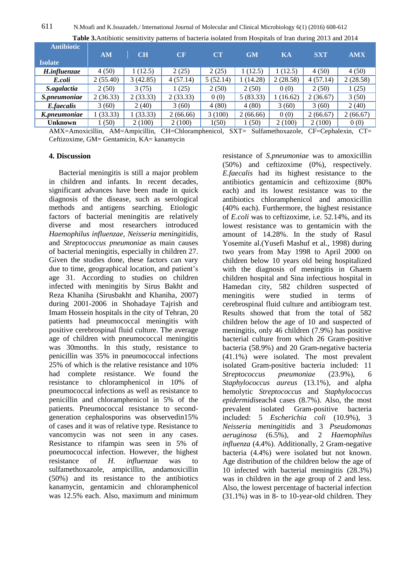| <b>Antibiotic</b> |          |          |          |          |           |          |            |            |
|-------------------|----------|----------|----------|----------|-----------|----------|------------|------------|
|                   | AM       | CH       | CF       | CT       | <b>GM</b> | KA       | <b>SXT</b> | <b>AMX</b> |
| <b>Isolate</b>    |          |          |          |          |           |          |            |            |
| H.influenzae      | 4(50)    | 1(12.5)  | 2(25)    | 2(25)    | (12.5)    | 1(12.5)  | 4(50)      | 4(50)      |
| E.coli            | 2(55.40) | 3(42.85) | 4(57.14) | 5(52.14) | (14.28)   | 2(28.58) | 4(57.14)   | 2(28.58)   |
| S.agalactia       | 2(50)    | 3(75)    | (25)     | 2(50)    | 2(50)     | 0(0)     | 2(50)      | 1(25)      |
| S.pneumoniae      | 2(36.33) | 2(33.33) | 2(33.33) | 0(0)     | 5(83.33)  | (16.62)  | 2(36.67)   | 3(50)      |
| E.faecalis        | 3(60)    | 2(40)    | 3(60)    | 4(80)    | 4(80)     | 3(60)    | 3(60)      | 2(40)      |
| K.pneumoniae      | 1(33.33) | 1(33.33) | 2(66.66) | 3(100)   | 2(66.66)  | 0(0)     | 2(66.67)   | 2(66.67)   |
| Unknown           | (50)     | 2(100)   | 2(100)   | 1(50)    | 1(50)     | 2(100)   | 2(100)     | 0(0)       |

**Table 3.**Antibiotic sensitivity patterns of bacteria isolated from Hospitals of Iran during 2013 and 2014

AMX=Amoxicillin, AM=Ampicillin, CH=Chloramphenicol, SXT= Sulfamethoxazole, CF=Cephalexin, CT= Ceftizoxime, GM= Gentamicin, KA= kanamycin

## **4. Discussion**

Bacterial meningitis is still a major problem in children and infants. In recent decades, significant advances have been made in quick diagnosis of the disease, such as serological methods and antigens searching. Etiologic factors of bacterial meningitis are relatively diverse and most researchers introduced *Haemophilus influenzae*, *Neisseria meningitidis*, and *Streptococcus pneumoniae* as main causes of bacterial meningitis, especially in children 27. Given the studies done, these factors can vary due to time, geographical location, and patient's age 31. According to studies on children infected with meningitis by Sirus Bakht and Reza Khaniha (Sirusbakht and Khaniha, 2007) during 2001-2006 in Shohadaye Tajrish and Imam Hossein hospitals in the city of Tehran, 20 patients had pneumococcal meningitis with positive cerebrospinal fluid culture. The average age of children with pneumococcal meningitis was 30months. In this study, resistance to penicillin was 35% in pneumococcal infections 25% of which is the relative resistance and 10% had complete resistance. We found the resistance to chloramphenicol in 10% of pneumococcal infections as well as resistance to penicillin and chloramphenicol in 5% of the patients. Pneumococcal resistance to secondgeneration cephalosporins was observedin15% of cases and it was of relative type. Resistance to vancomycin was not seen in any cases. Resistance to rifampin was seen in 5% of pneumococcal infection. However, the highest resistance of *H. influenzae* was to sulfamethoxazole, ampicillin, andamoxicillin (50%) and its resistance to the antibiotics kanamycin, gentamicin and chloramphenicol was 12.5% each. Also, maximum and minimum

resistance of *S.pneumoniae* was to amoxicillin (50%) and ceftizoxime (0%), respectively*. E.faecalis* had its highest resistance to the antibiotics gentamicin and ceftizoxime (80% each) and its lowest resistance was to the antibiotics chloramphenicol and amoxicillin (40% each). Furthermore, the highest resistance of *E.coli* was to ceftizoxime, i.e. 52.14%, and its lowest resistance was to gentamicin with the amount of 14.28%. In the study of Rasul Yosemite al.(Yusefi Mashuf et al., 1998) during two years from May 1998 to April 2000 on children below 10 years old being hospitalized with the diagnosis of meningitis in Ghaem children hospital and Sina infectious hospital in Hamedan city, 582 children suspected of meningitis were studied in terms of cerebrospinal fluid culture and antibiogram test. Results showed that from the total of 582 children below the age of 10 and suspected of meningitis, only 46 children (7.9%) has positive bacterial culture from which 26 Gram-positive bacteria (58.9%) and 20 Gram-negative bacteria (41.1%) were isolated. The most prevalent isolated Gram-positive bacteria included: 11 *Streptococcus pneumoniae* (23.9%), 6 *Staphylococcus aureus* (13.1%), and alpha hemolytic *Streptococcus* and *Staphylococcus epidermidis*each4 cases (8.7%). Also, the most prevalent isolated Gram-positive bacteria included: 5 *Escherichia coli* (10.9%), 3 *Neisseria meningitidis* and 3 *Pseudomonas aeruginosa* (6.5%), and 2 *Haemophilus influenza* (4.4%). Additionally, 2 Gram-negative bacteria (4.4%) were isolated but not known. Age distribution of the children below the age of 10 infected with bacterial meningitis (28.3%) was in children in the age group of 2 and less. Also, the lowest percentage of bacterial infection (31.1%) was in 8- to 10-year-old children. They